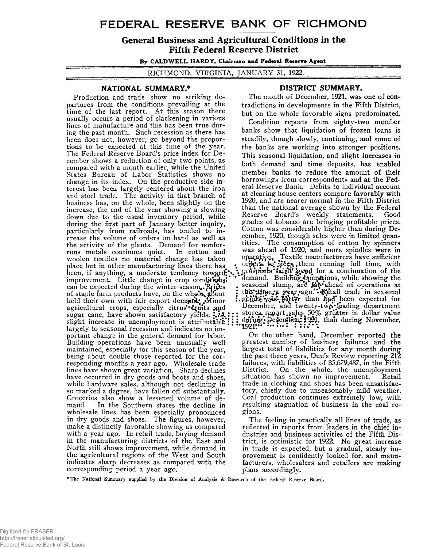# **FEDERAL RESERVE BANK OF RICHMOND**

General Business and Agricultural Conditions in the Fifth Federal Reserve District

By CALDWELL HARDY, Chairman and Federal **Reterre** Agent

RICHMOND, VIRGINIA, JANUARY 31, 1922.

### **NATIONAL SUMMARY \***

Production and trade show no striking departures from the conditions prevailing at the time of the last report. At this season there usually occurs a period of slackening in various lines of manufacture and this has been true during the past month. Such recession as there has been does not, however, go beyond the proportions to be expected at this time of the year. The Federal Reserve Board's price index for December shows a reduction of only two points, as compared with a month earlier, while the United States Bureau of Labor Statistics shows no change in its index. On the productive side interest has been largely centered about the iron and steel trade. The activity in that branch of business has, on the whole, been slightly on the increase, the end of the year showing a slowing down due to the usual inventory period, while during the first part of January better inquiry, particularly from railroads, has tended to increase the volume of orders on hand as well as the activity of the plants. Demand for nonferrous metals continues quiet. In cotton and woolen textiles no material change has taken place but in other manufacturing lines there has been, if anything, a moderate tendency toward; improvement. Little change in crop conditions: can be expected during the winter season. Prices of staple farm products have, on the whole, about held their own with fair export demand: Minor agricultural crops, especially citrus \*fruits and sugar cane, have shown satisfactory yields:  $\mathcal{P}$ . slight increase in unemployment is attributable::: largely to seasonal recession and indicates no important change in the general demand for labor. Building operations have been unusually well maintained, especially for this season of the year, being about double those reported for the corresponding months a year ago. Wholesale trade lines have shown great variation. Sharp declines have occurred in dry goods and boots and shoes, while hardware sales, although not declining in so marked a degree, have fallen off substantially. Groceries also show a lessened volume of demand. In the Southern states the decline in wholesale lines has been especially pronounced in dry goods and shoes. The figures, however, make a distinctly favorable showing as compared with a year ago. In retail trade, buying demand in the manufacturing districts of the East and North still shows improvement, while demand in the agricultural regions of the West and South indicates sharp decreases as compared with the corresponding period a year ago.

## **DISTRICT SUMMARY.**

The month of December, 1921, was one of contradictions in developments in the Fifth District, but on the whole favorable signs predominated.

Condition reports from eighty-two member banks show that liquidation of frozen loans is steadily, though slowly, continuing, and some of the banks are working into stronger positions. This seasonal liquidation, and slight increases in both demand and time deposits, has enabled member banks to reduce the amount of their borrowings from correspondents and at the Federal Reserve Bank. Debits to individual account at clearing house centers compare favorably with 1920, and are nearer normal in the Fifth District than the national average shown by the Federal Reserve Board's weekly statements. grades of tobacco are bringing profitable prices. Cotton was considerably higher than during December, 1920, though sales were in limited quantities. The consumption of cotton by spinners was ahead of 1920, and more spindles were in was ahead of 1920, and more spindles were in  $\mathop{\mathrm{operg}}\nolimits$  operation. Textile manufacturers have sufficient • orters to Keen them running full time, with jgGpd. *ior* a continuation of the \*\* demand. Building. operations, while showing the , seasonal slump, are  $An \cdot$  ahead of operations at : this time.a year.ago.' Retail trade in seasonal<br>
:. *gphids*: was betty than had been expected for<br>
December, and twenty-two leading department • stores report. sales 50% greater in dollar value :: during: December: 1921, than during November, • **\*\*\*1**921:\*\* \*\*\* \*\*\* \*

On the other hand, December reported the greatest number of business failures and the largest total of liabilities for any month during the past three years, Dun's Review reporting 212 failures, with liabilities of \$5,679,487, in the Fifth<br>District. On the whole, the unemployment On the whole, the unemployment<br>as shown no improvement. Retail situation has shown no improvement. trade in clothing and shoes has been unsatisfactory, chiefly due to unseasonably mild weather. Coal production continues extremely low, with resulting stagnation of business in the coal regions.

The feeling in practically all lines of trade, as reflected in reports from leaders in the chief industries and business activities of the Fifth District, is optimistic for 1922. No great increase in trade is expected, but a gradual, steady improvement is confidently looked for, and manufacturers, wholesalers and retailers are making plans accordingly.

\* The National Summary supplied by the Division of Analysis & Research of the Federal Reserve Board.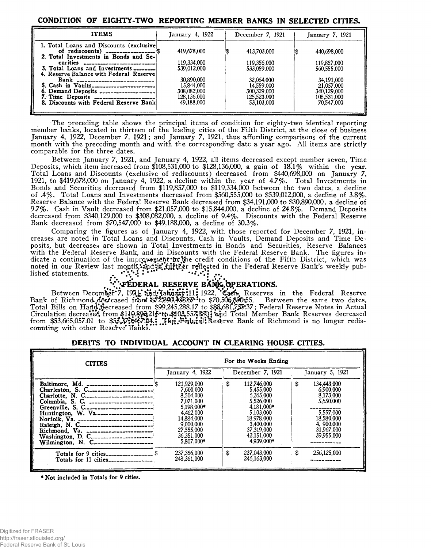### **CONDITION OF EIGHTY-TWO REPORTING MEMBER BANKS IN SELECTED CITIES.**

| <b>ITEMS</b>                                                                                                                                      | January 4, 1922                          | December 7, 1921                                       |                                                        |  |
|---------------------------------------------------------------------------------------------------------------------------------------------------|------------------------------------------|--------------------------------------------------------|--------------------------------------------------------|--|
| 1. Total Loans and Discounts (exclusive)<br>of rediscounts) $1.11$<br>2. Total Investments in Bonds and Se-                                       | 419,678,000                              | 413,703,000                                            | 440,698,000                                            |  |
| 3. Total Loans and Investments ________<br>4. Reserve Balance with Federal Reserve                                                                | 119,334,000<br>539,012,000<br>30.890,000 | 119.356.000<br>533,059,000                             | 119,857,000<br>560,555,000                             |  |
| Bank _____________________________<br>5. Cash in Vaults________________________<br>6. Demand Deposits<br>7. Time Deposits ----------------------- | 15.844,000<br>308,082,000<br>128.136,000 | 32,064,000<br>14,559,000<br>300,329,000<br>125,523,000 | 34.191,000<br>21,057,000<br>340,129,000<br>108,531,000 |  |
| 8. Discounts with Federal Reserve Bank                                                                                                            | 49.188,000                               | 53,103,000                                             | 70.547,000                                             |  |

The preceding table shows the principal items of condition for eighty-two identical reporting member banks, located in thirteen of the leading cities of the Fifth District, at the close of business January 4, 1922, December 7, 1921; and January 7, 1921, thus affording comparisons of the current month with the preceding month and with the corresponding date a year ago. All items are strictly comparable for the three dates.

Between January 7, 1921, and January 4, 1922, all items decreased except number seven, Time Deposits, which item increased from \$108,531,000 to \$128,136,000, a gain of 18.1% within the year. Total Loans and Discounts (exclusive of rediscounts) decreased from \$440,698,000 on January 7, 1921, to \$419,678,000 on January 4, 1922, a decline within the year of 4.7%. Total Investments in Bonds and Securities decreased from \$119,857,000 to \$119,334,000 between the two dates, a decline of .4%. Total Loans and Investments decreased from \$560,555,000 to \$539,012,000, a decline of 3.8%. Reserve Balance with the Federal Reserve Bank decreased from \$34,191,000 to \$30,890,000, a decline of 9.7%. Cash in Vault decreased from \$21,057,000 to \$15,844,000, a decline of 24.8%. Demand Deposits decreased from \$340,129,000 to \$308,082,000, a decline of 9.4%. Discounts with the Federal Reserve Bank decreased from \$70,547,000 to \$49,188,000, a decline of 30.3%.

Comparing the figures as of January 4, 1922, with those reported for December 7, 1921, increases are noted in Total Loans and Discounts, Cash in Vaults, Demand Deposits and Time Deposits, but decreases are shown in Total Investments in Bonds and Securities, Reserve Balances with the Federal Reserve Bank, and in Discounts with the Federal Reserve Bank. The figures indicate a continuation of the improvement in Jie credit conditions of the Fifth District, which was noted in our Review last month, and is fill ther reflected in the Federal Reserve Bank's weekly published statements.  $\qquad \qquad , \qquad \ddots \qquad \qquad \qquad \cdots$ 

# **V**: **FEDERAL RESERVE BANK OPERATIONS.**

Between December<sup>\*</sup>7, 1921, and Tahuary:11; 1922, Cash, Reserves in the Federal Reserve Bank of Richmond decreased from  $\frac{1872,390,438.65}{200}$  to \$70,506,890.55. Between the same two dates, Total Bills on Hartd\\$ecreased from \$99,245,288.17 to \$§&,68l,7jJ5\*.37; Federal Reserve Notes in Actual Circulation decreased from \$110,§9<del>2</del>,215\*t**p \$101,557,§301 and** Total Member Bank Reserves decreased from \$53,665,057.01 to \$53,370,467.04.: Reserve Bank of Richmond is no longer rediscounting with other Reserve Banks.

### **DEBITS TO INDIVIDUAL ACCOUNT IN CLEARING HOUSE CITIES.**

| <b>CITIES</b>                                                                                                                                                       | For the Weeks Ending                                                                                                                               |                                                                                                                                                         |                                                                                                                              |  |  |  |  |
|---------------------------------------------------------------------------------------------------------------------------------------------------------------------|----------------------------------------------------------------------------------------------------------------------------------------------------|---------------------------------------------------------------------------------------------------------------------------------------------------------|------------------------------------------------------------------------------------------------------------------------------|--|--|--|--|
|                                                                                                                                                                     | January 4, $1922$                                                                                                                                  | December 7, 1921                                                                                                                                        | January 5, 1921                                                                                                              |  |  |  |  |
| Baltimore, Md.<br>Columbia, S. C. _______________________<br>Greenville, S. C<br>Huntington, W. Va<br>Norfolk, Va. ----------------------------<br>Wilmington, N. C | 121,929,000<br>7.600.000<br>8.504.000<br>7.071.000<br>5.198.000*<br>4.462.000<br>14,884,000<br>9.000.000<br>27,555,000<br>36.351.000<br>5,807,000* | 112.746.000<br>S<br>5.455,000<br>6.365.000<br>5.526.000<br>4.181,000*<br>5.103,000<br>18.978,000<br>3,400,000<br>37,319,000<br>42,151,000<br>4.939.000* | 134,443,000<br>\$<br>6.900.000<br>8,173,000<br>5,650,000<br>5,557,000<br>18,580,000<br>4,900,000<br>31,967,000<br>39,955,000 |  |  |  |  |
| Totals for 11 cities------------                                                                                                                                    | 237,356,000<br>248,361,000                                                                                                                         | \$<br>237.043.000<br>246.163.000                                                                                                                        | \$<br>256,125,000                                                                                                            |  |  |  |  |

\* Not included in Totals for 9 cities.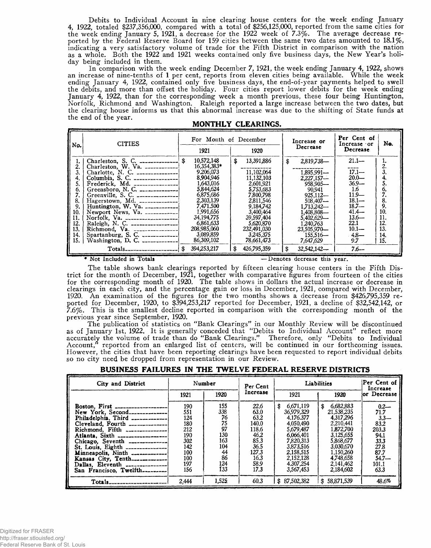Debits to Individual Account in nine clearing house centers for the week ending January 4, 1922, totaled \$237,356,000, compared with a total of \$256,125,000, reported from the same cities for the week ending January 5, 1921, a decrease for the 1922 week of 7.3%. The average decrease reported by the Federal Reserve Board for 159 cities between the same two dates amounted to 18.1%, indicating a very satisfactory volume of trade for the Fifth District in comparison with the nation as a whole. Both the 1922 and 1921 weeks contained only five business days, the New Year's holiday being included in them.

In comparison with the week ending December 7, 1921, the week ending January 4, 1922, shows an increase of nine-tenths of 1 per cent, reports from eleven cities being available. While the week ending January 4, 1922, contained only five business days, the end-of-year payments helped to swell the debits, and more than offset the holiday. Four cities report lower debits for the week ending January 4, 1922, than for the corresponding week a month previous, these four being Huntington, Norfolk, Richmond and Washington. Raleigh reported a large increase between the two dates, but the clearing house informs us that this abnormal increase was due to the shifting of State funds at the end of the year.

| No.                                                    | <b>CITIES</b>                                                                                                                                                                                                                                                                | For Month of December |                                                                                                                                                                                     |    |                                                                                                                                                                        | Increase or<br>Decrease |                                                                                                                                                                      | Per Cent of<br>Increase or                                                                                                                           | No.                                                                |
|--------------------------------------------------------|------------------------------------------------------------------------------------------------------------------------------------------------------------------------------------------------------------------------------------------------------------------------------|-----------------------|-------------------------------------------------------------------------------------------------------------------------------------------------------------------------------------|----|------------------------------------------------------------------------------------------------------------------------------------------------------------------------|-------------------------|----------------------------------------------------------------------------------------------------------------------------------------------------------------------|------------------------------------------------------------------------------------------------------------------------------------------------------|--------------------------------------------------------------------|
| 3.<br>5.<br>6.<br>8.<br>9.<br>10.<br>11.<br>12.<br>13. | Charleston, S. C. ________________  \$<br>Charleston, W. Va. $\left[-\frac{1}{2} \sum_{n=1}^{\infty} \frac{1}{n^2} \right]$<br>Charlotte, N. C. $\ldots$<br>Greensboro, N. C. $\ldots$<br>Greenville, S. C. $\frac{1}{2}$<br>Huntington, W. Va. $\left[-\frac{1}{2} \right]$ |                       | 1921<br>10,572,148<br>16,354,383*<br>9.206.073<br>8,904,946<br>1,643,016<br>5.844.624<br>6,875,686<br>2.303.139<br>7.471.500<br>1.991.656<br>34,194,775<br>6,861,633<br>208,985,060 | \$ | 1920<br>13,391,886<br>11,102,064<br>11,132,103<br>2,601,921<br>5.753.683<br>7,800,798<br>2.811,546<br>9,184,742<br>3,400,464<br>39,597,404<br>5,620,870<br>232,491,030 | \$                      | 2,819,738-<br>1,895,991-<br>$2,227,157-$<br>$958.905 -$<br>90.941<br>$925,112-$<br>$508.407 -$<br>1,713,242-<br>1,408,808—<br>5,402,629-<br>1.240.763<br>23,505,970- | Decrease<br>$21.1-$<br>----<br>$17.1 -$<br>$20.0 -$<br>$36.9 -$<br>1.6<br>$11.9-$<br>$18.1 -$<br>$18.7 -$<br>$41.4 -$<br>$13.6-$<br>22.1<br>$10.1 -$ | 2.<br>3.<br>4.<br>5.<br>6.<br>8.<br>9.<br>10.<br>11.<br>12.<br>13. |
| 14.<br>15.                                             | Spartanburg, S. C. $\ldots$<br>Washington, D. C. $\frac{1}{2}$                                                                                                                                                                                                               |                       | 3,089,859<br>86,309,102                                                                                                                                                             |    | 3,245,375<br>78,661,473                                                                                                                                                |                         | $155.516-$<br>7,647,629                                                                                                                                              | $4.8 -$<br>9.7                                                                                                                                       | 14.<br>15.                                                         |
|                                                        |                                                                                                                                                                                                                                                                              |                       | 394,253,217                                                                                                                                                                         | \$ | 426,795,359                                                                                                                                                            | \$                      | $32,542,142-$                                                                                                                                                        | $7.6 -$                                                                                                                                              |                                                                    |

|  | MONTHLY CLEARINGS. |
|--|--------------------|
|--|--------------------|

♦ Not Included in Totals — Denotes decrease this year.

The table shows bank clearings reported by fifteen clearing house centers in the Fifth District for the month of December, 1921, together with comparative figures from fourteen of the cities for the corresponding month of 1920. The table shows in dollars the actual increase or decrease in clearings in each city, and the percentage gain or loss in December, 1921, compared with December, 1920. An examination of the figures for the two months shows a decrease from \$426,795,359 reported for December, 1920, to \$394,253,217 reported for December, 1921, a decline of \$32,542,142, or 7.6%. This is the smallest decline reported in comparison with the corresponding month of the previous year since September, 1920.

The publication of statistics on "Bank Clearings" in our Monthly Review will be discontinued as of January 1st, 1922. It is generally conceded that "Debits to Individual Account" reflect more accurately the volume of trade than do " Bank Clearings." Therefore, only "Debits to Individual Account," reported from an enlarged list of centers, will be continued in our forthcoming issues. However, the cities that have been reporting clearings have been requested to report individual debits so no city need be dropped from representation in our Review.

| City and District                                                                                                                                                                                                                                                                                                                                                                                             | Number                                                                           |                                                                             | Per Cent                                                                                        | Liabilities                                                                                                                                                     | Per Cent of<br>Increase                                                                                                                                         |                                                                                                          |
|---------------------------------------------------------------------------------------------------------------------------------------------------------------------------------------------------------------------------------------------------------------------------------------------------------------------------------------------------------------------------------------------------------------|----------------------------------------------------------------------------------|-----------------------------------------------------------------------------|-------------------------------------------------------------------------------------------------|-----------------------------------------------------------------------------------------------------------------------------------------------------------------|-----------------------------------------------------------------------------------------------------------------------------------------------------------------|----------------------------------------------------------------------------------------------------------|
|                                                                                                                                                                                                                                                                                                                                                                                                               | 1921                                                                             | 1920                                                                        | Increase                                                                                        | 1921                                                                                                                                                            | 1920                                                                                                                                                            | or Decrease                                                                                              |
| Boston, First ___________________<br>New York. Second---------------<br>Philadelphia, Third ____________<br>Cleveland. Fourth ______________<br>Richmond, Fifth ______________<br>Atlanta. Sixth ___________________<br>Chicago. Seventh ______________<br>St. Louis, Eighth _______________<br>Minneapolis. Ninth _____________<br>Kansas City, Tenth<br>Dallas, Eleventh<br>San Francisco, Twelfth--------- | 190<br>551<br>124<br>180<br>212<br>190<br>302<br>142<br>100<br>100<br>197<br>156 | 155<br>338<br>76<br>75<br>97<br>130<br>163<br>104<br>44<br>86<br>124<br>133 | 22.6<br>63.0<br>63.2<br>140.0<br>118.6<br>46.2<br>85.3<br>36.5<br>127.3<br>16.3<br>58.9<br>17.3 | 6.671.119<br>£.<br>36,979,329<br>4.176.377<br>4.050.490<br>5.679.487<br>6.066.401<br>7,820,313<br>3.873.516<br>2.158,515<br>2,152,128<br>4.307.254<br>3.567,453 | 6,682,883<br>£.<br>21,538,235<br>4,317,296<br>2.210,441<br>1,872,700<br>3,125,655<br>5,868,677<br>3,030,670<br>1,150,260<br>4.748,658<br>2.141.462<br>2,184,602 | $0.2 -$<br>71.7<br>$3.3 -$<br>83.2<br>203.3<br>94.1<br>33.3<br>27.8<br>87.7<br>$54.7 -$<br>101.1<br>63.3 |
| $Totals_{\text{}}$                                                                                                                                                                                                                                                                                                                                                                                            | 2.444                                                                            | 1.525                                                                       | 60.3                                                                                            | 87.502.382<br>\$                                                                                                                                                | 58.871.539<br>S.                                                                                                                                                | 48.6%                                                                                                    |

### **BUSINESS FAILURES IN THE TWELVE FEDERAL RESERVE DISTRICTS**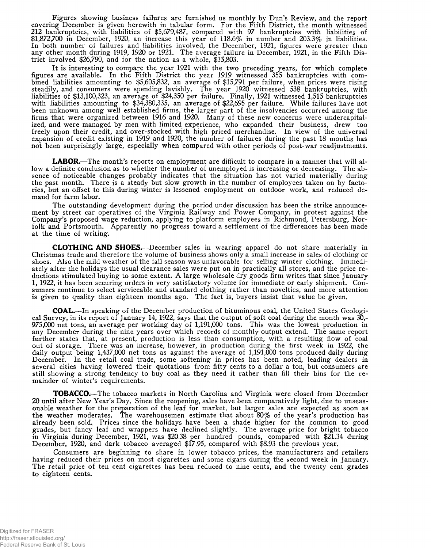Figures showing business failures are furnished us monthly by Dun's Review, and the report covering December is given herewith in tabular form. For the Fifth District, the month witnessed 212 bankruptcies, with liabilities of \$5,679,487, compared with 97 bankruptcies with liabilities of \$1,872,700 in December, 1920, an increase this year of 118.6% in number and 203.3% in liabilities. In both number of failures and liabilities involved, the December, 1921, figures were greater than any other month during 1919, 1920 or 1921. The average failure in December, 1921, in the Fifth District involved \$26,790, and for the nation as a whole, \$35,803.

It is interesting to compare the year 1921 with the two preceding years, for which complete figures are available. In the Fifth District the year 1919 witnessed 355 bankruptcies with combined liabilities amounting to \$5,605,832, an average of \$15,791 per failure, when prices were rising steadily, and consumers were spending lavishly. The year 1920 witnessed 538 bankruptcies, with liabilities of \$13,100,323, an average of \$24,350 per failure. Finally, 1921 witnessed 1,515 bankruptcies with liabilities amounting to \$34,380,335, an average of \$22,695 per failure. While failures have not been unknown among well established firms, the larger part of the insolvencies occurred among the firms that were organized between 1916 and 1920. Many of these new concerns were undercapitalized, and were managed by men with limited experience, who expanded their business, drew too freely upon their credit, and over-stocked with high priced merchandise. In view of the universal expansion of credit existing in 1919 and 1920, the number of failures during the past 18 months has not been surprisingly large, especially when compared with other periods of post-war readjustments.

**LABOR.**—The month's reports on employment are difficult to compare in a manner that will allow a definite conclusion as to whether the number of unemployed is increasing or decreasing. The absence of noticeable changes probably indicates that the situation has not varied materially during the past month. There is a steady but slow growth in the number of employees taken on by factories, but an offset to this during winter is lessened employment on outdoor work, and reduced demand for farm labor.

The outstanding development during the period under discussion has been the strike announcement by street car operatives of the Virginia Railway and Power Company, in protest against the Company's proposed wage reduction, applying to platform employees in Richmond, Petersburg, Norfolk and Portsmouth. Apparently no progress toward a settlement of the differences has been made at the time of writing.

**CLOTHING AND SHOES.**—December sales in wearing apparel do not share materially in Christmas trade and therefore the volume of business shows only a small increase in sales of clothing or shoes. Also the mild weather of the fall season was unfavorable for selling winter clothing. Immediately after the holidays the usual clearance sales were put on in practically all stores, and the price reductions stimulated buying to some extent. A large wholesale dry goods firm writes that since January 1, 1922, it has been securing orders in very satisfactory volume for immediate or early shipment. Consumers continue to select serviceable and standard clothing rather than novelties, and more attention is given to quality than eighteen months ago. The fact is, buyers insist that value be given.

**COAL.**—In speaking of the December production of bituminous coal, the United States Geological Survey, in its report of January 14, 1922, says that the output of soft coal during the month was 30,- 975,000 net tons, an average per working day of 1,191,000 tons. This was the lowest production in any December during the nine years over which records of monthly output extend. The same report further states that, at present, production is less than consumption, with a resulting flow of coal out of storage. There was an increase, however, in production during the first week in 1922, the daily output being 1,437,000 net tons as against the average of 1,191,000 tons produced daily during December. In the retail coal trade, some softening in prices has been noted, leading dealers in several cities having lowered their quotations from fifty cents to a dollar a ton, but consumers are still showing a strong tendency to buy coal as they need it rather than fill their bins for the remainder of winter's requirements.

**TOBACCO.**—The tobacco markets in North Carolina and Virginia were closed from December 20 until after New Year's Day. Since the reopening, sales have been comparatively light, due to unseasonable weather for the preparation of the leaf for market, but larger sales are expected as soon as the weather moderates. The warehousemen estimate that about  $80\%$  of the year's production has already been sold, Prices since the holidays have been a shade higher for the common to good grades, but fancy leaf and wrappers have declined slightly. The average price for bright tobacco in Virginia during December, 1921, was \$20.38 per hundred pounds, compared with \$21.34 during December, 1920, and dark tobacco averaged \$17.95, compared with \$8.93 the previous year.

Consumers are beginning to share in lower tobacco prices, the manufacturers and retailers having reduced their prices on most cigarettes and some cigars during the second week in January. The retail price of ten cent cigarettes has been reduced to nine cents, and the twenty cent grades to eighteen cents.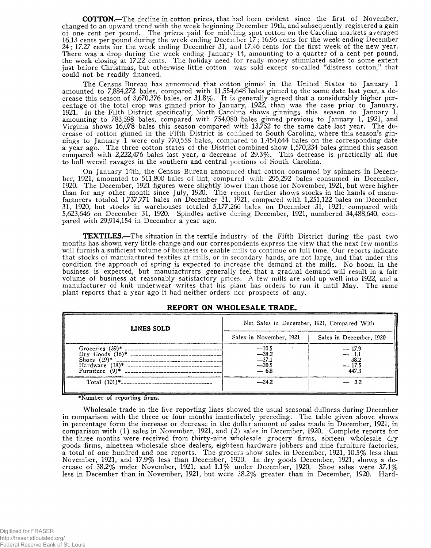**COTTON.**—The decline in cotton prices, that had been evident since the first of November, changed to an upward trend with the week beginning December 19th, and subsequently registered a gain of one cent per pound. The prices paid for middling spot cotton on the Carolina markets averaged 16.13 cents per pound during the week ending December 17; 16.96 cents for the week ending December 24; 17.27 cents for the week ending December 31, and 17.46 cents for the first week of the new year. There was a drop during the week ending January 14, amounting to a quarter of a cent per pound, the week closing at 17.22 cents. The holiday need for ready money stimulated sales to some extent just before Christmas, but otherwise little cotton was sold except so-called "distress cotton," that could not be readily financed.

The Census Bureau has announced that cotton ginned in the United States to January 1 amounted to 7,884,272 bales, compared with 11,554,648 bales ginned to the same date last year, a decrease this season of 3,670,376 bales, or 31.8%. It is generally agreed that a considerably higher percentage of the total crop was ginned prior to January, 1922, than was the case prior to January, 1921. In the Fifth District specifically, North Carolina shows ginnings this season to January 1, amounting to 783,598 bales, compared with 754,080 bales ginned previous to January 1, 1921, and Virginia shows 16,078 bales this season compared with 13,752 to the same date last year. The decrease of cotton ginned in the Fifth District is confined to South Carolina, where this season's ginnings to January 1 were only 770,558 bales, compared to 1,454,644 bales on the corresponding date a year ago. The three cotton states of the District combined show 1,570,234 bales ginned this season compared with 2,222,476 bales last year, a decrease of 29.3%. This decrease is practically all due to boll weevil ravages in the southern and central portions of South Carolina.

On January 14th, the Census Bureau announced that cotton consumed by spinners in December, 1921, amounted to 511,800 bales of lint, compared *with* 295,292 bales consumed in December, 1920. The December, 1921 figures were slightly lower than those for November, 1921, but were higher than for any other month since July, 1920. The report further shows stocks in the hands of manufacturers totaled 1,737,771 bales on December 31, 1921, compared with 1,251,122 bales on December 31, 1920, but stocks in warehouses totaled 5,177,266 bales on December 31, 1921, compared with 5,623,646 on December 31, 1920. Spindles active during December, 1921, numbered 34,488,640, compared with 29,914,154 in December a year ago.

**TEXTILES.**—The situation in the textile industry of the Fifth District during the past two months has shown very little change and our correspondents express the view that the next few months will furnish a sufficient volume of business to enable mills to continue on full time. Our reports indicate that stocks of manufactured textiles at mills, or in secondary hands, are not large, and that under this condition the approach of spring is expected to increase the demand at the mills. No boom in the business is expected, but manufacturers generally feel that a gradual demand will result in a fair volume of business at reasonably satisfactory prices. A few mills are sold up well into 1922, and a manufacturer of knit underwear writes that his plant has orders to run it until May. The same plant reports that a year ago it had neither orders nor prospects of any.

| LINES SOLD                                                                                                                                      | Net Sales in December, 1921, Compared With       |                                               |  |  |  |  |
|-------------------------------------------------------------------------------------------------------------------------------------------------|--------------------------------------------------|-----------------------------------------------|--|--|--|--|
|                                                                                                                                                 | Sales in November, 1921                          | Sales in December, 1920                       |  |  |  |  |
| Groceries $(39)^*$ __<br>Dry Goods $(16)^*$ -------------------------------<br>Shoes $(19)*$<br>--------------------------<br>Furniture $(9)^*$ | $-10.5$<br>$-38.2$<br>-37.1<br>$-20.5$<br>$-6.8$ | $-17.9$<br>$-1.1$<br>38.2<br>$-17.5$<br>447.3 |  |  |  |  |
| Total $(101)^*$ ---------------------------------                                                                                               | $-24.2$                                          | $-3.2$                                        |  |  |  |  |

### **REPORT ON WHOLESALE TRADE.**

♦Number of reporting firms.

Wholesale trade in the five reporting lines showed the usual seasonal dullness during December in comparison with the three or four months immediately preceding. The table given above shows in percentage form the increase or decrease in the dollar amount of sales made in December, 1921, in comparison with (1) sales in November, 1921, and (2) sales in December, 1920. Complete reports for the three months were received from thirty-nine wholesale grocery firms, sixteen wholesale dry goods firms, nineteen wholesale shoe dealers, eighteen hardware jobbers and nine furniture factories, a total of one hundred and one reports. The grocers show sales in December, 1921, 10.5% less than November, 1921, and 17.9% less than December, 1920. In dry goods December, 1921, shows a decrease of  $38.2\%$  under November, 1921, and 1.1% under December, 1920. Shoe sales were  $37.1\%$ less in December than in November, 1921, but were 38.2% greater than in December, 1920. Hard-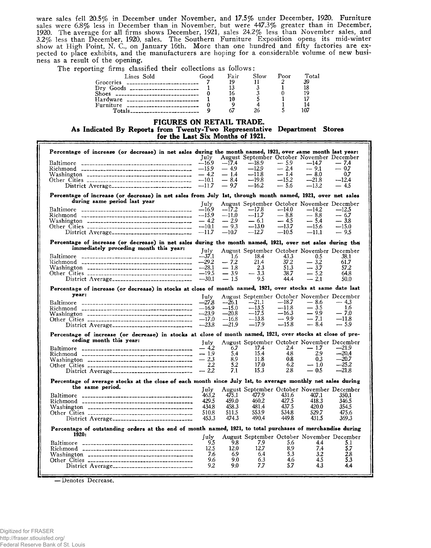ware sales fell 20.5% in December under November, and 17.5% under December, 1920. Furniture sales were 6.8% less in December than in November, but were 447.3% greater than in December, 1920. The average for all firms shows December, 1921, sales 24.2% less than November sales,^ and 3.2% less than December, 1920, sales. The Southern Furniture Exposition opens its mid-winter show at High Point, N. C., on January 16th. More than one hundred and fifty factories are expected to place exhibits, and the manufacturers are hoping for a considerable volume of new business as a result of the opening.

The reporting firms classified their collections as follows:

| Lines Sold                                     | Good | Fair | Slow | Poor | Total |
|------------------------------------------------|------|------|------|------|-------|
|                                                |      |      |      | ≘    | 39    |
|                                                |      |      |      |      |       |
| Shoes ________________________________         |      |      |      |      |       |
| $\text{Hardware}$ ---------------------------- |      |      |      |      |       |
| Furniture __________________________           |      |      |      |      |       |
|                                                |      |      |      |      |       |

#### **FIGURES ON RETAIL TRADE.**

**As Indicated By Reports from Twenty-Two Representative Department Stores for the Last Six Months of 1921.**

| Percentage of increase (or decrease) in net sales during the month named, 1921, over same month last year:                                          |                    |                  |                                                       |         |                  |               |
|-----------------------------------------------------------------------------------------------------------------------------------------------------|--------------------|------------------|-------------------------------------------------------|---------|------------------|---------------|
|                                                                                                                                                     | July<br>$-16.9$    | $-17.4$          | August September October November December<br>$-18.9$ | $-5.9$  | $-14.7$          | $-7.4$        |
|                                                                                                                                                     | $-15.9$            | $-4.9$           | $-12.9$                                               | $-2.4$  | $-9.1$           | $-0.7$        |
|                                                                                                                                                     | $-4.2$             | — 1.4            | $-11.8$                                               | $-14$   | $-8.0$           | 0.7           |
|                                                                                                                                                     | $-10.1$            | $-8.4$           | $-19.8$                                               | $-15.2$ | $-21.8$          | ---12.4       |
|                                                                                                                                                     | $-11.7$            | $-9.7$           | $-16.2$                                               | -- 5.6  | $-13.2$          | $-4.5$        |
|                                                                                                                                                     |                    |                  |                                                       |         |                  |               |
| Percentage of increase (or decrease) in net sales from July 1st, through month named, 1921, over net sales<br>during same period last year          |                    |                  |                                                       |         |                  |               |
|                                                                                                                                                     | July               |                  | August September October November December            |         |                  |               |
|                                                                                                                                                     | —16.9              | $-17.2$          | $-17.8$                                               | $-14.0$ | —14.2            | $-12.5$       |
|                                                                                                                                                     | $-15.9$            | $-11.0$          | $-11.7$                                               | $-8.8$  | $-8.8$           | — 6.7         |
|                                                                                                                                                     | $-4.2$             | $-2.9$           | $-6.1$                                                | $-4.5$  | $-5.4$           | $-3.8$        |
|                                                                                                                                                     | $-10.1$            | $-9.3$           | $-13.0$                                               | $-13.7$ | $-15.6$          | $-15.0$       |
|                                                                                                                                                     | $-11.7$            | $-10.7$          | $-12.7$                                               | $-10.5$ | $-11.1$          | $-9.5$        |
| Percentage of increase (or decrease) in net sales during the month named, 1921, over net sales during the<br>immediately preceding month this year: |                    |                  |                                                       |         |                  |               |
|                                                                                                                                                     | July               |                  | August September October November December            |         |                  |               |
|                                                                                                                                                     | $-37.1$            | 1.6              | 18.4                                                  | 43.3    | 0.5              | 38.1          |
|                                                                                                                                                     | $-29.2$            | $-7.2$           | 21.4                                                  | 37.2    | $-3.2$           | 61.7          |
|                                                                                                                                                     | $-28.1$            | $-1.8$           | 2.3                                                   | 51.3    | $-3.7$           | 57.2          |
|                                                                                                                                                     | $-19.5$            | $-3.9$           | $-3.3$                                                | 38.7    | $-5.2$           | 64.8          |
|                                                                                                                                                     | $-30.1$            | $-1.5$           | 9.5                                                   | 44.4    | $-21$            | 50.0          |
| Percentage of increase (or decrease) in stocks at close of month named, 1921, over stocks at same date last<br>year:                                |                    |                  |                                                       |         |                  |               |
|                                                                                                                                                     | July               |                  | August September October November December            | $-18.7$ |                  |               |
|                                                                                                                                                     | $-278$             | $-26.1$          | $-21.1$                                               | $-11.8$ | $-8.6$<br>$-3.5$ | $-4.3$<br>1.6 |
|                                                                                                                                                     | $-16.9$            | $-15.0$          | $-13.5$<br>$-17.5$                                    | $-16.3$ | — 9.9            | $-7.0$        |
|                                                                                                                                                     | $-23.9$            | $-20.8$<br>—16.8 | —13.8                                                 | $-9.9$  | $-7.1$           | —11.8         |
|                                                                                                                                                     | $-17.0$<br>$-23.8$ | $-21.9$          | $-17.9$                                               | $-15.8$ | $-8.4$           | $-5.9$        |
|                                                                                                                                                     |                    |                  |                                                       |         |                  |               |
| Percentage of increase (or decrease) in stocks at close of month named, 1921, over stocks at close of pre-                                          |                    |                  |                                                       |         |                  |               |
| ceding month this year:                                                                                                                             | July               |                  | August September October November December            |         |                  |               |
|                                                                                                                                                     | $-4.2$             | 6.7              | 17.4                                                  | 2.4     | $-1.7$           | $-21.9$       |
|                                                                                                                                                     | $-1.9$             | 5.4              | 15.4                                                  | 4.8     | 2.9              | $-20.4$       |
|                                                                                                                                                     | $-2.3$             | 8.9              | 11.8                                                  | 0.8     | 0.3              | $-20.7$       |
|                                                                                                                                                     | 2.2                | 5.2              | 17.0                                                  | 6.2     | $-1.0$           | $-25.2$       |
|                                                                                                                                                     | $-22$              | 7.1              | 15.3                                                  | 2.8     | $-0.5$           | $-21.8$       |
| Percentage of average stocks at the close of each month since July 1st, to average monthly net sales during                                         |                    |                  |                                                       |         |                  |               |
| the same period.                                                                                                                                    | July               |                  | August September October November December            |         |                  |               |
|                                                                                                                                                     | 463.2              | 475.1            | 477.9                                                 | 431.6   | 407.1            | 350.1         |
|                                                                                                                                                     | 429.5              | 459.0            | 460.2                                                 | 427.5   | 418.3            | 346.5         |
|                                                                                                                                                     | 434.8              | 458.3            | 481.4                                                 | 437.5   | 420.0            | 354.5         |
|                                                                                                                                                     | 510.8              | 511.5            | 553.9                                                 | 534.8   | 529.7            | 475.6         |
|                                                                                                                                                     | 453.3              | 474.3            | 490.4                                                 | 449.8   | 431.5            | 369.3         |
| Percentage of outstanding orders at the end of month named, 1921, to total purchases of merchandise during                                          |                    |                  |                                                       |         |                  |               |
| 1920:                                                                                                                                               | fuly               |                  | August September October November December            |         |                  |               |
|                                                                                                                                                     | 9.5                | 9.8              | 7.9                                                   | 5.6     | 4.4              | 5.1           |
|                                                                                                                                                     | 12.5               | 12.0             | 12.7                                                  | 8.9     | 7.4              | 5.7           |
|                                                                                                                                                     | 7.6                | 6.9              | 6.4                                                   | 5.3     | 3.2              | 2.8           |
|                                                                                                                                                     | 9.6                | 9.0              | 6.3                                                   | 4.6     | 4.5              | 5.3           |
|                                                                                                                                                     | 9,2                | 9.0              | 7.7                                                   | 5,7     | 4.3              | 4.4           |
|                                                                                                                                                     |                    |                  |                                                       |         |                  |               |
|                                                                                                                                                     |                    |                  |                                                       |         |                  |               |

— Denotes Decrease.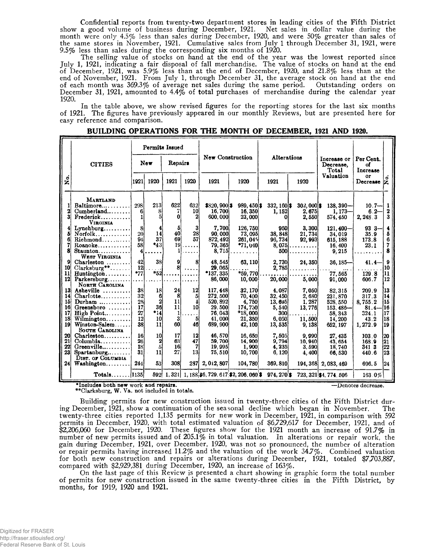Confidential reports from twenty-two department stores in leading cities of the Fifth District show a good volume of business during December, 1921. Net sales in dollar value during the month were only 4.5% less than sales during December, 1920, and were 50% greater than sales of the same stores in November, 1921. Cumulative sales from July 1 through December 31, 1921, were 9.5% less than sales during the corresponding six months of 1920.

The selling value of stocks on hand at the end of the year was the lowest reported since July 1, 1921, indicating a fair disposal of fall merchandise. The value of stocks on hand at the end of December, 1921, was 5.9% less than at the end of December, 1920, and 21.8% less than at the end of November, 1921. From July 1, through December 31, the average stock on hand at the end of each month was 369.3% of average net sales during the same period. Outstanding orders on December 31, 1921, amounted to 4.4% of total purchases of merchandise during the calendar year **192°.**

In the table above, we show revised figures for the reporting stores for the last six months of 1921. The figures have previously appeared in our monthly Reviews, but are presented here for easy reference and comparison.

|                                               | Permits Issued                                                                                                 |                                                                         |                                                           |                               |                                                             |                                                                       |                                                                              |                                                            |                                               |                                                                      |                                                    |                                     |
|-----------------------------------------------|----------------------------------------------------------------------------------------------------------------|-------------------------------------------------------------------------|-----------------------------------------------------------|-------------------------------|-------------------------------------------------------------|-----------------------------------------------------------------------|------------------------------------------------------------------------------|------------------------------------------------------------|-----------------------------------------------|----------------------------------------------------------------------|----------------------------------------------------|-------------------------------------|
|                                               | <b>New</b><br>Repairs<br><b>CITIES</b>                                                                         |                                                                         | New Construction                                          |                               | Alterations                                                 |                                                                       | Increase or<br>Decrease.<br>Total                                            | Per Cent.<br>оf<br>Increase                                |                                               |                                                                      |                                                    |                                     |
| .<br>Ž                                        |                                                                                                                | 1921                                                                    | 1920                                                      | 1921                          | 1920                                                        | 1921                                                                  | 1920                                                                         | 1921                                                       | 1920                                          | Valuation                                                            | or<br>Decrease $ z $                               | o                                   |
| 2                                             | <b>MARYLAND</b><br>$Baltimore \ldots$<br>$Cumberland \ldots$<br>Frederick<br><b>VIRGINIA</b>                   | 298<br>6                                                                | 213<br>8<br>51                                            | 622<br>7<br>0                 | 632<br><b>10</b><br>2                                       | $$820,900]$ \$<br>16, 700<br>600.000                                  | $989, 450$ s<br>16, 350<br>23,000                                            | $332, 160$ \$<br>1, 152<br>ΩI                              | $302,000$ s<br>2,675<br>2,550                 | $138,390-$<br>$1,173-$<br>574, 450                                   | $10.7 -$<br>$6.2 -$<br>2, 248.3                    | ા<br>2<br>3                         |
| 8                                             | Lynchburg<br>$N$ orfolk<br>Richard<br>Roanoke<br>$Staunton$<br>WEST VIRGINIA                                   | 8 <sub>l</sub><br>20<br>94<br>58<br>41                                  | 4<br>14<br>37<br>*43                                      | 5.<br>40<br>69<br>11          | $\vert$ 3<br>28<br>57<br>$19$                               | 7.700<br>90,000<br>872, 492<br>79, 365<br>$8.715$ .                   | 126, 750<br>73,095<br>261.045<br>$*71,040$                                   | 950<br>38.848<br>96,734<br>$8,075$ .<br><b>500</b>         | 3.300<br>21, 734<br>92, 993                   | $121,400 -$<br>34,019<br>615.188<br>16, 400<br>9, 215                | $93.3 -$<br>35.9<br>173.8<br>23.1                  | 4<br>5<br>6<br>7<br>8               |
| 9<br>10<br><b>11</b><br>12                    | $Charleston$<br>$Clarksburg**$<br>$H$ untington<br>Parkersburg<br>NORTH CAROLINA                               | 42<br>12i<br>$*77$                                                      | 38 <sub>1</sub><br>$*_{52}$                               | 9<br>8ł                       | 8<br>$\cdots$                                               | 48, 545<br>29.065<br>$*137, 335$<br>86,000                            | 63, 110<br>$\cdots$<br>*59,770<br>10,000                                     | 2,730<br>2,785<br>20,000                                   | 24, 350<br>5.000                              | $36,185$ -<br>77,565<br>91,000                                       | $41.4-$<br>129.8<br>606.7                          | -9<br>10<br>11<br>12                |
| 13<br>14<br>15<br>16 <sup>1</sup><br>17<br>18 | Asheville<br>Charlotte<br>Durham<br>Greensboro<br>High Point<br>Wilmington                                     | 38 <sup>1</sup><br>32 <sub>1</sub><br>28<br>17<br>27<br>12 <sup>1</sup> | 18 <sup>1</sup><br>6<br>$\mathbf{2}$<br>36<br>$*14$<br>10 | 24<br>8<br>11<br>11<br>1<br>3 | 12<br>5<br>$\overline{\mathbf{1}}$<br>10 <sup>1</sup><br>51 | 117, 448<br><b>272.500</b><br>520, 892<br>29.500<br>76, 043<br>41,000 | 32.170<br>70,400<br>4,750<br>174,750<br>$*18,000$<br>21,350                  | 4.087<br>32, 450<br>13.695<br>5,540<br><b>300</b><br>6.050 | 7,050<br>2,680<br>1, 287<br>13, 776<br>11,500 | 82, 315<br>231, 870<br>528, 550<br>$153.486 -$<br>58, 343<br>14, 200 | 209.9<br>317.3<br>8,755.2<br>81.4<br>324.1<br>43.2 | 13<br> 14<br> 15<br>16<br>17<br> 18 |
| 19<br>20 l<br>21<br>221<br>23 <sup>1</sup>    | $Winstein-Salem$<br>SOUTH CAROLINA<br>Charleston<br>Columbia<br>Greenville<br>Spartanburg<br>DIST. OF COLUMBIA | 38<br>16<br>26 <sup>1</sup><br>18<br>31                                 | 11<br>10<br>2<br>5 <sup>1</sup><br>11                     | 60<br>17<br>63<br>16<br>27    | 46<br>12<br>47<br>7<br>13 <sup>1</sup>                      | 689, 900<br>46, 570<br>59,700<br>19, 995<br>75,510                    | 42, 100<br>16.650<br>14,900<br>1,900<br>10,700                               | 13, 535<br>7,505<br>9,794<br>4,235<br>6, 120               | 9.138<br>9,990<br>10.940<br>3,590<br>4.400    | 652, 197<br>27, 435<br>43, 654<br>18,740<br>66,530                   | 1,272.9<br>103.0<br>168.9<br>341 3<br>440.6        | 19<br>120<br>21<br> 22<br> 23       |
| 24 <sup>1</sup>                               | Washington<br>$Totals$ $1135$                                                                                  | 244                                                                     | 531                                                       | 308                           | 287                                                         | 2, 0i2, 807                                                           | 104,780<br>$592$   1, 321   1, 188 36, 729, 617 32, 206, 060 3   974, 270 \$ | 369, 810                                                   |                                               | 194, 368 2, 083, 469<br>723, 321 \$4, 774, 506                       | 696.5<br>$163.0\%$                                 | 24                                  |

**BUILDING OPERATIONS FOR THE MONTH OF DECEMBER, 1921 AND 1920.**

\*Includes both new work and repairs. The contract of the contract of the contract of the Denotes decrease. \*\*Clarksburg, W. Va. not included in totals.

Building permits for new construction issued in twenty-three cities of the Fifth District during December, 1921, show a continuation of the seasonal decline which began in November. The twenty-three cities reported 1,135 permits for new work in December, 1921, in comparison with 592 permits in December, 1920, with total estimated valuation of \$6,729,617 for December, 1921, and of \$2,206,060 for December, 1920. These figures show for the 1921 month an increase of 91.7% in number of new permits issued and of 205.1% in total valuation. In alterations or repair work, the gain during December, 1921, over December, 1920, was not so pronounced, the number of alteration or repair permits having increased 11.2% and the valuation of the work 34.7%. Combined valuation for both new construction and repairs or alterations during December, 1921, totaled \$7,703,887, compared with \$2,929,381 during December, 1920, an increase of 163%.

On the last page of this Review is presented a chart showing in graphic form the total number of permits for new construction issued in the same twenty-three cities in the Fifth District, by months, for 1919, 1920 and 1921.